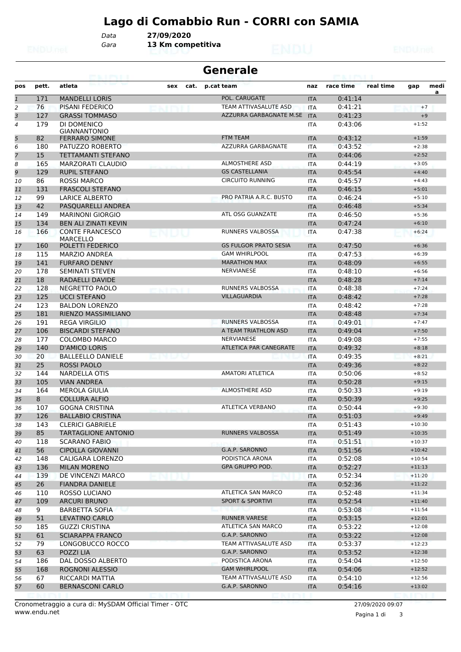## **Lago di Comabbio Run - CORRI con SAMIA**

*Gara* **13 Km competitiva** *Data* **27/09/2020**

| <b>Generale</b><br>63. I KBL |            |                                              |             |                                         |                          |                    |           |                    |           |
|------------------------------|------------|----------------------------------------------|-------------|-----------------------------------------|--------------------------|--------------------|-----------|--------------------|-----------|
| pos                          | pett.      | atleta                                       | sex<br>cat. | p.cat team                              | naz                      | race time          | real time | gap                | medi<br>a |
| $\mathbf{1}$                 | 171        | <b>MANDELLI LORIS</b>                        |             | POL. CARUGATE                           | <b>ITA</b>               | 0:41:14            |           |                    |           |
| $\overline{2}$               | 76         | <b>PISANI FEDERICO</b>                       |             | TEAM ATTIVASALUTE ASD                   | <b>ITA</b>               | 0:41:21            |           | $+7$               |           |
| 3                            | 127        | <b>GRASSI TOMMASO</b>                        |             | AZZURRA GARBAGNATE M.SE                 | <b>ITA</b>               | 0:41:23            |           | $+9$               |           |
| $\overline{4}$               | 179        | DI DOMENICO                                  |             |                                         | <b>ITA</b>               | 0:43:06            |           | $+1:52$            |           |
| 5                            | 82         | <b>GIANNANTONIO</b><br><b>FERRARO SIMONE</b> |             | <b>FTM TEAM</b>                         | <b>ITA</b>               | 0:43:12            |           | $+1:59$            |           |
| 6                            | 180        | PATUZZO ROBERTO                              |             | AZZURRA GARBAGNATE                      | <b>ITA</b>               | 0:43:52            |           | $+2:38$            |           |
| $\overline{7}$               | 15         | TETTAMANTI STEFANO                           |             |                                         | <b>ITA</b>               | 0:44:06            |           | $+2:52$            |           |
| 8                            | 165        | MARZORATI CLAUDIO                            |             | <b>ALMOSTHERE ASD</b>                   | <b>ITA</b>               | 0:44:19            |           | $+3:05$            |           |
| 9                            | 129        | <b>RUPIL STEFANO</b>                         |             | <b>GS CASTELLANIA</b>                   | <b>ITA</b>               | 0:45:54            |           | $+4:40$            |           |
| 10                           | 86         | <b>ROSSI MARCO</b>                           |             | <b>CIRCUITO RUNNING</b>                 | <b>ITA</b>               | 0:45:57            |           | $+4:43$            |           |
| 11                           | 131        | <b>FRASCOLI STEFANO</b>                      |             |                                         | <b>ITA</b>               | 0:46:15            |           | $+5:01$            |           |
| 12                           | 99         | LARICE ALBERTO                               |             | PRO PATRIA A.R.C. BUSTO                 | <b>ITA</b>               | 0:46:24            |           | $+5:10$            |           |
| 13                           | 42         | PASQUARELLI ANDREA                           |             |                                         | <b>ITA</b>               | 0:46:48            |           | $+5:34$            |           |
| 14                           | 149        | <b>MARINONI GIORGIO</b>                      |             | ATL OSG GUANZATE                        | <b>ITA</b>               | 0:46:50            |           | $+5:36$            |           |
| 15                           | 134        | <b>BEN ALI ZINATI KEVIN</b>                  |             |                                         | <b>ITA</b>               | 0:47:24            |           | $+6:10$            |           |
| 16                           | 166        | <b>CONTE FRANCESCO</b>                       | NUV         | <b>RUNNERS VALBOSSA</b>                 | <b>ITA</b>               | 0:47:38            |           | $+6:24$            |           |
|                              |            | <b>MARCELLO</b>                              |             |                                         |                          |                    |           |                    |           |
| 17                           | 160        | POLETTI FEDERICO                             |             | <b>GS FULGOR PRATO SESIA</b>            | <b>ITA</b>               | 0:47:50            |           | $+6:36$            |           |
| 18                           | 115        | <b>MARZIO ANDREA</b>                         |             | <b>GAM WHIRLPOOL</b>                    | <b>ITA</b>               | 0:47:53            |           | $+6:39$            |           |
| 19                           | 141        | <b>FURFARO DENNY</b>                         |             | <b>MARATHON MAX</b>                     | <b>ITA</b>               | 0:48:09            |           | $+6:55$            |           |
| 20                           | 178        | <b>SEMINATI STEVEN</b>                       |             | <b>NERVIANESE</b>                       | <b>ITA</b>               | 0:48:10            |           | $+6:56$            |           |
| 21                           | 18         | <b>RADAELLI DAVIDE</b>                       |             |                                         | <b>ITA</b>               | 0:48:28            |           | $+7:14$            |           |
| 22                           | 128        | NEGRETTO PAOLO                               | Martin Ko   | RUNNERS VALBOSSA<br><b>VILLAGUARDIA</b> | <b>ITA</b>               | 0:48:38            |           | $+7:24$            |           |
| 23                           | 125        | <b>UCCI STEFANO</b>                          |             |                                         | <b>ITA</b>               | 0:48:42<br>0:48:42 |           | $+7:28$            |           |
| 24                           | 123<br>181 | <b>BALDON LORENZO</b><br>RIENZO MASSIMILIANO |             |                                         | <b>ITA</b>               | 0:48:48            |           | $+7:28$<br>$+7:34$ |           |
| 25<br>26                     | 191        | <b>REGA VIRGILIO</b>                         |             | <b>RUNNERS VALBOSSA</b>                 | <b>ITA</b><br><b>ITA</b> | 0:49:01            |           | $+7:47$            |           |
| 27                           | 106        | <b>BISCARDI STEFANO</b>                      |             | A TEAM TRIATHLON ASD                    | <b>ITA</b>               | 0:49:04            |           | $+7:50$            |           |
| 28                           | 177        | COLOMBO MARCO                                |             | <b>NERVIANESE</b>                       | <b>ITA</b>               | 0:49:08            |           | $+7:55$            |           |
| 29                           | 140        | <b>D'AMICO LORIS</b>                         |             | ATLETICA PAR CANEGRATE                  | <b>ITA</b>               | 0:49:32            |           | $+8:18$            |           |
| 30                           | 20         | <b>BALLEELLO DANIELE</b>                     | IMERIC      |                                         | <b>ITA</b>               | 0:49:35            |           | $+8:21$            |           |
| 31                           | 25         | <b>ROSSI PAOLO</b>                           |             |                                         | <b>ITA</b>               | 0:49:36            |           | $+8:22$            |           |
| 32                           | 144        | NARDELLA OTIS                                |             | <b>AMATORI ATLETICA</b>                 | <b>ITA</b>               | 0:50:06            |           | $+8:52$            |           |
| 33                           | 105        | <b>VIAN ANDREA</b>                           |             |                                         | <b>ITA</b>               | 0:50:28            |           | $+9:15$            |           |
| 34                           | 164        | <b>MEROLA GIULIA</b>                         |             | <b>ALMOSTHERE ASD</b>                   | <b>ITA</b>               | 0:50:33            |           | $+9:19$            |           |
| 35                           | 8          | <b>COLLURA ALFIO</b>                         |             |                                         | <b>ITA</b>               | 0:50:39            |           | $+9:25$            |           |
| 36                           | 107        | <b>GOGNA CRISTINA</b>                        |             | ATLETICA VERBANO                        | <b>ITA</b>               | 0:50:44            |           | $+9:30$            |           |
| 37                           | 126        | <b>BALLABIO CRISTINA</b>                     |             |                                         | <b>ITA</b>               | 0:51:03            |           | $+9:49$            |           |
| 38                           | 143        | <b>CLERICI GABRIELE</b>                      |             |                                         | ITA                      | 0:51:43            |           | $+10:30$           |           |
| 39                           | 85         | <b>TARTAGLIONE ANTONIO</b>                   |             | <b>RUNNERS VALBOSSA</b>                 | <b>ITA</b>               | 0:51:49            |           | $+10:35$           |           |
| 40                           | 118        | <b>SCARANO FABIO</b>                         |             |                                         | <b>ITA</b>               | 0:51:51            |           | $+10:37$           |           |
| 41                           | 56         | <b>CIPOLLA GIOVANNI</b>                      |             | G.A.P. SARONNO                          | <b>ITA</b>               | 0:51:56            |           | $+10:42$           |           |
| 42                           | 148        | CALIGARA LORENZO                             |             | PODISTICA ARONA                         | ITA                      | 0:52:08            |           | $+10:54$           |           |
| 43                           | 136        | <b>MILAN MORENO</b>                          |             | GPA GRUPPO POD.                         | <b>ITA</b>               | 0:52:27            |           | $+11:13$           |           |
| 44                           | 139        | DE VINCENZI MARCO                            |             |                                         | ITA                      | 0:52:34            |           | $+11:20$           |           |
| 45                           | 26         | <b>FIANDRA DANIELE</b>                       |             |                                         | <b>ITA</b>               | 0:52:36            |           | $+11:22$           |           |
| 46                           | 110        | <b>ROSSO LUCIANO</b>                         |             | ATLETICA SAN MARCO                      | <b>ITA</b>               | 0:52:48            |           | $+11:34$           |           |
| 47                           | 109        | <b>ARCURI BRUNO</b>                          |             | <b>SPORT &amp; SPORTIVI</b>             | <b>ITA</b>               | 0:52:54            |           | $+11:40$           |           |
| 48                           | 9          | <b>BARBETTA SOFIA</b>                        |             |                                         | ITA                      | 0:53:08            |           | $+11:54$           |           |
| 49                           | 51         | LEVATINO CARLO                               |             | RUNNER VARESE                           | <b>ITA</b>               | 0:53:15            |           | $+12:01$           |           |
| 50                           | 185        | <b>GUZZI CRISTINA</b>                        |             | ATLETICA SAN MARCO                      | ITA                      | 0:53:22            |           | $+12:08$           |           |
| 51                           | 61         | <b>SCIARAPPA FRANCO</b>                      |             | G.A.P. SARONNO                          | <b>ITA</b>               | 0:53:22            |           | $+12:08$           |           |
| 52                           | 79         | LONGOBUCCO ROCCO                             |             | TEAM ATTIVASALUTE ASD                   | ITA                      | 0:53:37            |           | $+12:23$           |           |
| 53                           | 63         | POZZI LIA                                    |             | G.A.P. SARONNO                          | <b>ITA</b>               | 0:53:52            |           | $+12:38$           |           |
| 54                           | 186        | DAL DOSSO ALBERTO                            |             | PODISTICA ARONA                         | ITA                      | 0:54:04            |           | $+12:50$           |           |
| 55                           | 168        | ROGNONI ALESSIO                              |             | <b>GAM WHIRLPOOL</b>                    | <b>ITA</b>               | 0:54:06            |           | $+12:52$           |           |
| 56                           | 67         | RICCARDI MATTIA                              |             | TEAM ATTIVASALUTE ASD                   | ITA                      | 0:54:10            |           | $+12:56$           |           |
| 57                           | 60         | <b>BERNASCONI CARLO</b>                      |             | G.A.P. SARONNO                          | <b>ITA</b>               | 0:54:16            |           | $+13:02$           |           |

www.endu.net Cronometraggio a cura di: MySDAM Official Timer - OTC 27/09/2020 09:07

Pagina 1 di 3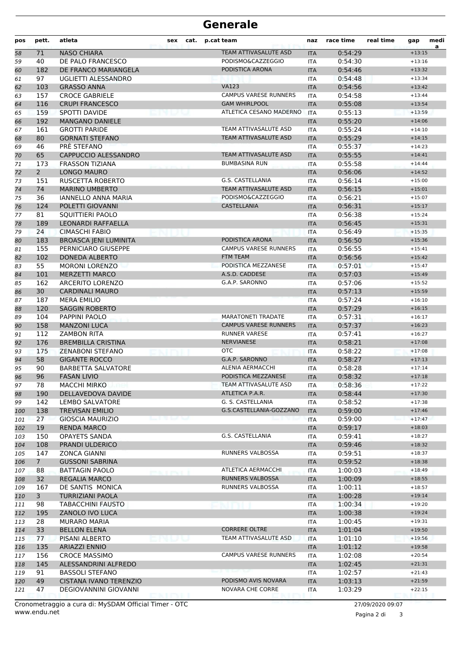## **Generale**

| pos | pett.          | atleta                                    | sex    | cat. | p.cat team                   | naz        | race time | real time | gap                  | medi<br>$\overline{a}$ |
|-----|----------------|-------------------------------------------|--------|------|------------------------------|------------|-----------|-----------|----------------------|------------------------|
| 58  | 71             | <b>NASO CHIARA</b>                        |        |      | TEAM ATTIVASALUTE ASD        | <b>ITA</b> | 0:54:29   |           | $+13:15$             |                        |
| 59  | 40             | DE PALO FRANCESCO                         |        |      | PODISMO&CAZZEGGIO            | <b>ITA</b> | 0:54:30   |           | $+13:16$             |                        |
| 60  | 182            | DE FRANCO MARIANGELA                      |        |      | PODISTICA ARONA              | <b>ITA</b> | 0:54:46   |           | $+13:32$             |                        |
| 61  | 97             | UGLIETTI ALESSANDRO                       |        |      |                              | <b>ITA</b> | 0:54:48   |           | $+13:34$             |                        |
| 62  | 103            | <b>GRASSO ANNA</b>                        |        |      | <b>VA123</b>                 | <b>ITA</b> | 0:54:56   |           | $+13:42$             |                        |
| 63  | 157            | <b>CROCE GABRIELE</b>                     |        |      | <b>CAMPUS VARESE RUNNERS</b> | <b>ITA</b> | 0:54:58   |           | $+13:44$             |                        |
| 64  | 116            | <b>CRUPI FRANCESCO</b>                    |        |      | <b>GAM WHIRLPOOL</b>         | <b>ITA</b> | 0:55:08   |           | $+13:54$             |                        |
| 65  | 159            | <b>SPOTTI DAVIDE</b>                      |        |      | ATLETICA CESANO MADERNO      | <b>ITA</b> | 0:55:13   |           | $+13:59$             |                        |
| 66  | 192            | <b>MANGANO DANIELE</b>                    |        |      |                              | <b>ITA</b> | 0:55:20   |           | $+14:06$             |                        |
| 67  | 161            | <b>GROTTI PARIDE</b>                      |        |      | TEAM ATTIVASALUTE ASD        | <b>ITA</b> | 0:55:24   |           | $+14:10$             |                        |
| 68  | 80             | <b>GORNATI STEFANO</b>                    |        |      | TEAM ATTIVASALUTE ASD        | <b>ITA</b> | 0:55:29   |           | $+14:15$             |                        |
| 69  | 46             | PRÈ STEFANO                               |        |      |                              | <b>ITA</b> | 0:55:37   |           | $+14:23$             |                        |
| 70  | 65             | CAPPUCCIO ALESSANDRO                      |        |      | TEAM ATTIVASALUTE ASD        | <b>ITA</b> | 0:55:55   |           | $+14:41$             |                        |
| 71  | 173            | <b>FRASSON TIZIANA</b>                    |        |      | <b>BUMBASINA RUN</b>         | <b>ITA</b> | 0:55:58   |           | $+14:44$             |                        |
| 72  | $\overline{2}$ | <b>LONGO MAURO</b>                        |        |      |                              | <b>ITA</b> | 0:56:06   |           | $+14:52$             |                        |
| 73  | 151            | RUSCETTA ROBERTO                          |        |      | G.S. CASTELLANIA             | <b>ITA</b> | 0:56:14   |           | $+15:00$             |                        |
| 74  | 74             | <b>MARINO UMBERTO</b>                     |        |      | <b>TEAM ATTIVASALUTE ASD</b> | <b>ITA</b> | 0:56:15   |           | $+15:01$             |                        |
| 75  | 36             | IANNELLO ANNA MARIA                       |        |      | PODISMO&CAZZEGGIO            | <b>ITA</b> | 0:56:21   |           | $+15:07$             |                        |
| 76  | 124            | POLETTI GIOVANNI                          |        |      | CASTELLANIA                  | <b>ITA</b> | 0:56:31   |           | $+15:17$             |                        |
| 77  | 81             | SQUITTIERI PAOLO                          |        |      |                              | <b>ITA</b> | 0:56:38   |           | $+15:24$             |                        |
| 78  | 189            | LEONARDI RAFFAELLA                        |        |      |                              | <b>ITA</b> | 0:56:45   |           | $+15:31$             |                        |
| 79  | 24             | <b>CIMASCHI FABIO</b>                     |        |      |                              | <b>ITA</b> | 0:56:49   |           | $+15:35$             |                        |
| 80  | 183            | <b>BROASCA JENI LUMINITA</b>              |        |      | PODISTICA ARONA              | <b>ITA</b> | 0:56:50   |           | $+15:36$             |                        |
| 81  | 155            | PERNICIARO GIUSEPPE                       |        |      | <b>CAMPUS VARESE RUNNERS</b> | <b>ITA</b> | 0:56:55   |           | $+15:41$             |                        |
| 82  | 102            | <b>DONEDA ALBERTO</b>                     |        |      | <b>FTM TEAM</b>              | <b>ITA</b> | 0:56:56   |           | $+15:42$             |                        |
| 83  | 55             | <b>MORONI LORENZO</b>                     |        |      | PODISTICA MEZZANESE          | <b>ITA</b> | 0:57:01   |           | $+15:47$             |                        |
| 84  | 101            | <b>MERZETTI MARCO</b>                     |        |      | A.S.D. CADDESE               | <b>ITA</b> | 0:57:03   |           | $+15:49$             |                        |
| 85  | 162            | <b>ARCERITO LORENZO</b>                   |        |      | G.A.P. SARONNO               | <b>ITA</b> | 0:57:06   |           | $+15:52$             |                        |
| 86  | 30             | <b>CARDINALI MAURO</b>                    |        |      |                              | <b>ITA</b> | 0:57:13   |           | $+15:59$             |                        |
| 87  | 187            | <b>MERA EMILIO</b>                        |        |      |                              | <b>ITA</b> | 0:57:24   |           | $+16:10$             |                        |
| 88  | 120            | <b>SAGGIN ROBERTO</b>                     |        |      |                              | <b>ITA</b> | 0:57:29   |           | $+16:15$             |                        |
| 89  | 104            | PAPPINI PAOLO                             |        |      | <b>MARATONETI TRADATE</b>    | <b>ITA</b> | 0:57:31   |           | $+16:17$             |                        |
| 90  | 158            | <b>MANZONI LUCA</b>                       |        |      | <b>CAMPUS VARESE RUNNERS</b> | <b>ITA</b> | 0:57:37   |           | $+16:23$             |                        |
| 91  | 112            | <b>ZAMBON RITA</b>                        |        |      | <b>RUNNER VARESE</b>         | <b>ITA</b> | 0:57:41   |           | $+16:27$             |                        |
| 92  | 176            | <b>BREMBILLA CRISTINA</b>                 |        |      | <b>NERVIANESE</b>            | <b>ITA</b> | 0:58:21   |           | $+17:08$             |                        |
| 93  | 175            | <b>ZENABONI STEFANO</b>                   |        |      | <b>OTC</b>                   | <b>ITA</b> | 0:58:22   |           | $+17:08$             |                        |
| 94  | 58             | <b>GIGANTE ROCCO</b>                      |        |      | G.A.P. SARONNO               | <b>ITA</b> | 0:58:27   |           | $+17:13$             |                        |
| 95  | 90             | <b>BARBETTA SALVATORE</b>                 |        |      | ALENIA AERMACCHI             | <b>ITA</b> | 0:58:28   |           | $+17:14$             |                        |
| 96  | 96             | <b>FASAN LIVIO</b>                        |        |      | PODISTICA MEZZANESE          | <b>ITA</b> | 0:58:32   |           | $+17:18$             |                        |
| 97  | 78             | <b>MACCHI MIRKO</b>                       |        |      | TEAM ATTIVASALUTE ASD        | ITA        | 0:58:36   |           | $+17:22$             |                        |
| 98  | 190            | DELLAVEDOVA DAVIDE                        |        |      | ATLETICA P.A.R.              | <b>ITA</b> | 0:58:44   |           | $+17:30$             |                        |
| 99  | 142            | LEMBO SALVATORE                           |        |      | G. S. CASTELLANIA            | <b>ITA</b> | 0:58:52   |           | $+17:38$             |                        |
| 100 | 138            | <b>TREVISAN EMILIO</b>                    |        |      | G.S.CASTELLANIA-GOZZANO      | <b>ITA</b> | 0:59:00   |           | $+17:46$             |                        |
| 101 | 27             | <b>GIOSCIA MAURIZIO</b>                   |        |      |                              | ITA        | 0:59:00   |           | $+17:47$             |                        |
| 102 | 19             | <b>RENDA MARCO</b>                        |        |      |                              | <b>ITA</b> | 0:59:17   |           | $+18:03$             |                        |
| 103 | 150            | <b>OPAYETS SANDA</b>                      |        |      | G.S. CASTELLANIA             | ITA        | 0:59:41   |           | $+18:27$             |                        |
| 104 | 108            | PRANDI ULDERICO                           |        |      |                              | <b>ITA</b> | 0:59:46   |           | $+18:32$             |                        |
| 105 | 147            | <b>ZONCA GIANNI</b>                       |        |      | RUNNERS VALBOSSA             | <b>ITA</b> | 0:59:51   |           | $+18:37$             |                        |
| 106 | $7^{\circ}$    | <b>GUSSONI SABRINA</b>                    |        |      |                              | <b>ITA</b> | 0:59:52   |           | $+18:38$             |                        |
| 107 | 88             | <b>BATTAGIN PAOLO</b>                     | PERMIT |      | ATLETICA AERMACCHI           | ITA        | 1:00:03   |           | $+18:49$             |                        |
| 108 | 32             | <b>REGALIA MARCO</b>                      |        |      | RUNNERS VALBOSSA             | <b>ITA</b> | 1:00:09   |           | $+18:55$             |                        |
| 109 | 167            | DE SANTIS MONICA                          |        |      | RUNNERS VALBOSSA             | ITA        | 1:00:11   |           | $+18:57$             |                        |
| 110 | 3              | <b>TURRIZIANI PAOLA</b>                   |        |      |                              | <b>ITA</b> | 1:00:28   |           | $+19:14$             |                        |
| 111 | 98             | <b>TABACCHINI FAUSTO</b>                  |        |      |                              | <b>ITA</b> | 1:00:34   |           | $+19:20$             |                        |
| 112 | 195            | ZANOLO IVO LUCA                           |        |      |                              | <b>ITA</b> | 1:00:38   |           | $+19:24$             |                        |
| 113 | 28             | MURARO MARIA                              |        |      | <b>CORRERE OLTRE</b>         | ITA        | 1:00:45   |           | $+19:31$             |                        |
| 114 | 33             | <b>BELLON ELENA</b>                       |        |      |                              | <b>ITA</b> | 1:01:04   |           | $+19:50$             |                        |
| 115 | 77             | PISANI ALBERTO                            |        |      | TEAM ATTIVASALUTE ASD        | ITA        | 1:01:10   |           | $+19:56$             |                        |
| 116 | 135            | <b>ARIAZZI ENNIO</b>                      |        |      | <b>CAMPUS VARESE RUNNERS</b> | <b>ITA</b> | 1:01:12   |           | $+19:58$             |                        |
| 117 | 156            | <b>CROCE MASSIMO</b>                      |        |      |                              | <b>ITA</b> | 1:02:08   |           | $+20:54$             |                        |
| 118 | 145            | ALESSANDRINI ALFREDO                      |        |      |                              | <b>ITA</b> | 1:02:45   |           | $+21:31$             |                        |
| 119 | 91             | BASSOLI STEFANO<br>CISTANA IVANO TERENZIO |        |      | PODISMO AVIS NOVARA          | ITA        | 1:02:57   |           | $+21:43$<br>$+21:59$ |                        |
| 120 | 49<br>47       | DEGIOVANNINI GIOVANNI                     |        |      | NOVARA CHE CORRE             | <b>ITA</b> | 1:03:13   |           | $+22:15$             |                        |
| 121 |                |                                           |        |      |                              | ITA        | 1:03:29   |           |                      |                        |

www.endu.net Cronometraggio a cura di: MySDAM Official Timer - OTC 27/09/2020 09:07

Pagina 2 di 3